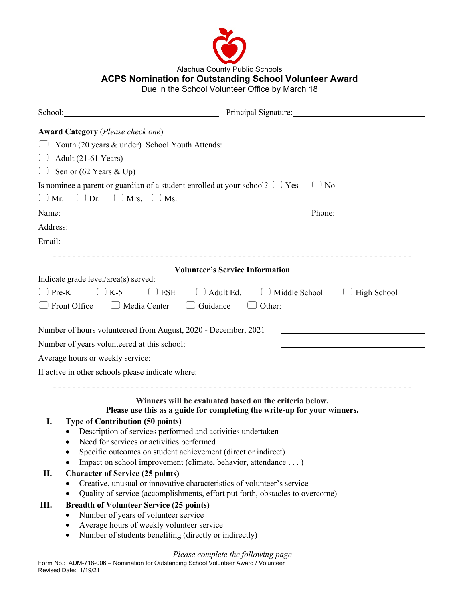

Alachua County Public Schools

## **ACPS Nomination for Outstanding School Volunteer Award**

e Due in the School Volunteer Office by March 18

|                                                                                                                                                                            | School: The Contract of the Contract of the Contract of the Contract of the Contract of the Contract of the Contract of the Contract of the Contract of the Contract of the Contract of the Contract of the Contract of the Co<br>Principal Signature: |
|----------------------------------------------------------------------------------------------------------------------------------------------------------------------------|--------------------------------------------------------------------------------------------------------------------------------------------------------------------------------------------------------------------------------------------------------|
| <b>Award Category</b> ( <i>Please check one</i> )                                                                                                                          |                                                                                                                                                                                                                                                        |
|                                                                                                                                                                            | Youth (20 years & under) School Youth Attends:                                                                                                                                                                                                         |
| Adult (21-61 Years)                                                                                                                                                        |                                                                                                                                                                                                                                                        |
| Senior (62 Years & Up)                                                                                                                                                     |                                                                                                                                                                                                                                                        |
|                                                                                                                                                                            | Is nominee a parent or guardian of a student enrolled at your school? $\Box$ Yes<br>N <sub>0</sub>                                                                                                                                                     |
| $\Box$ Mr. $\Box$ Dr. $\Box$ Mrs. $\Box$ Ms.                                                                                                                               |                                                                                                                                                                                                                                                        |
|                                                                                                                                                                            | Name: Name:<br>Phone: New York Changes and School Changes and School Changes and School Changes and School Changes and School Changes and School Changes and School Changes and School Changes and School Changes and School Changes and Scho          |
|                                                                                                                                                                            | Address: 2008 and 2008 and 2008 and 2008 and 2008 and 2008 and 2008 and 2008 and 2008 and 2008 and 2008 and 20                                                                                                                                         |
|                                                                                                                                                                            |                                                                                                                                                                                                                                                        |
|                                                                                                                                                                            |                                                                                                                                                                                                                                                        |
|                                                                                                                                                                            | <b>Volunteer's Service Information</b>                                                                                                                                                                                                                 |
| Indicate grade level/area(s) served:                                                                                                                                       |                                                                                                                                                                                                                                                        |
| $K-5$<br>$\Box$ Pre-K                                                                                                                                                      | $\Box$ Adult Ed.<br>$\Box$ ESE<br>$\Box$ Middle School<br>High School                                                                                                                                                                                  |
| $\Box$ Front Office                                                                                                                                                        | $\Box$ Media Center<br>Guidance<br>$\Box$<br>Other:                                                                                                                                                                                                    |
|                                                                                                                                                                            |                                                                                                                                                                                                                                                        |
|                                                                                                                                                                            | Number of hours volunteered from August, 2020 - December, 2021                                                                                                                                                                                         |
| Number of years volunteered at this school:                                                                                                                                |                                                                                                                                                                                                                                                        |
| Average hours or weekly service:                                                                                                                                           |                                                                                                                                                                                                                                                        |
| If active in other schools please indicate where:<br><u> 1989 - Johann Barbara, martin amerikan basal dan berasal dalam basal dalam basal dalam basal dalam basal dala</u> |                                                                                                                                                                                                                                                        |
|                                                                                                                                                                            |                                                                                                                                                                                                                                                        |
|                                                                                                                                                                            | Winners will be evaluated based on the criteria below.                                                                                                                                                                                                 |
|                                                                                                                                                                            | Please use this as a guide for completing the write-up for your winners.                                                                                                                                                                               |
| I.                                                                                                                                                                         | <b>Type of Contribution (50 points)</b>                                                                                                                                                                                                                |
|                                                                                                                                                                            | Description of services performed and activities undertaken                                                                                                                                                                                            |
|                                                                                                                                                                            | Need for services or activities performed                                                                                                                                                                                                              |
|                                                                                                                                                                            | Specific outcomes on student achievement (direct or indirect)                                                                                                                                                                                          |
|                                                                                                                                                                            | Impact on school improvement (climate, behavior, attendance )                                                                                                                                                                                          |
| П.                                                                                                                                                                         | <b>Character of Service (25 points)</b>                                                                                                                                                                                                                |
| Creative, unusual or innovative characteristics of volunteer's service                                                                                                     |                                                                                                                                                                                                                                                        |
| Quality of service (accomplishments, effort put forth, obstacles to overcome)<br>$\bullet$                                                                                 |                                                                                                                                                                                                                                                        |
| Ш.                                                                                                                                                                         | <b>Breadth of Volunteer Service (25 points)</b>                                                                                                                                                                                                        |
|                                                                                                                                                                            | Number of years of volunteer service                                                                                                                                                                                                                   |
| ٠                                                                                                                                                                          | Average hours of weekly volunteer service                                                                                                                                                                                                              |
| ٠                                                                                                                                                                          | Number of students benefiting (directly or indirectly)                                                                                                                                                                                                 |
|                                                                                                                                                                            | Plagea complete the following nage                                                                                                                                                                                                                     |